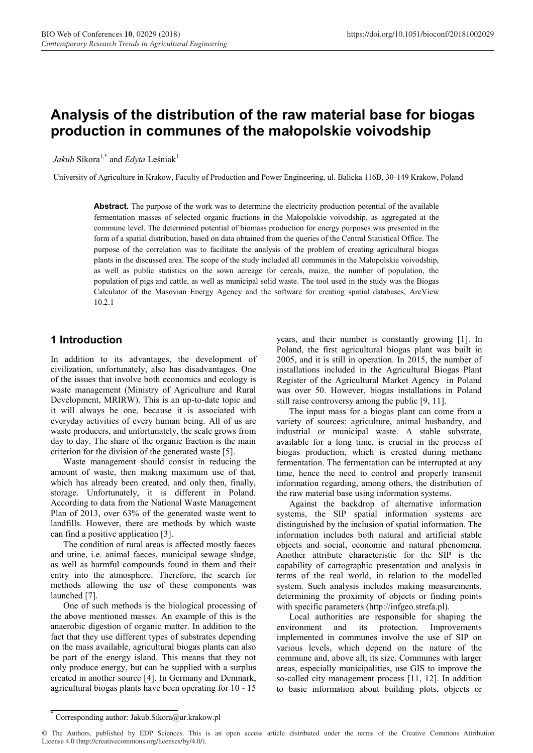# **Analysis of the distribution of the raw material base for biogas production in communes of the małopolskie voivodship**

*Jakub* Sikora<sup>1,\*</sup> and *Edyta* Leśniak<sup>1</sup>

<sup>1</sup>University of Agriculture in Krakow, Faculty of Production and Power Engineering, ul. Balicka 116B, 30-149 Krakow, Poland

Abstract. The purpose of the work was to determine the electricity production potential of the available fermentation masses of selected organic fractions in the Małopolskie voivodship, as aggregated at the commune level. The determined potential of biomass production for energy purposes was presented in the form of a spatial distribution, based on data obtained from the queries of the Central Statistical Office. The purpose of the correlation was to facilitate the analysis of the problem of creating agricultural biogas plants in the discussed area. The scope of the study included all communes in the Małopolskie voivodship, as well as public statistics on the sown acreage for cereals, maize, the number of population, the population of pigs and cattle, as well as municipal solid waste. The tool used in the study was the Biogas Calculator of the Masovian Energy Agency and the software for creating spatial databases, ArcView 10.2.1

## **1 Introduction**

In addition to its advantages, the development of civilization, unfortunately, also has disadvantages. One of the issues that involve both economics and ecology is waste management (Ministry of Agriculture and Rural Development, MRIRW). This is an up-to-date topic and it will always be one, because it is associated with everyday activities of every human being. All of us are waste producers, and unfortunately, the scale grows from day to day. The share of the organic fraction is the main criterion for the division of the generated waste [5].

Waste management should consist in reducing the amount of waste, then making maximum use of that, which has already been created, and only then, finally, storage. Unfortunately, it is different in Poland. According to data from the National Waste Management Plan of 2013, over 63% of the generated waste went to landfills. However, there are methods by which waste can find a positive application [3].

The condition of rural areas is affected mostly faeces and urine, i.e. animal faeces, municipal sewage sludge, as well as harmful compounds found in them and their entry into the atmosphere. Therefore, the search for methods allowing the use of these components was launched [7].

One of such methods is the biological processing of the above mentioned masses. An example of this is the anaerobic digestion of organic matter. In addition to the fact that they use different types of substrates depending on the mass available, agricultural biogas plants can also be part of the energy island. This means that they not only produce energy, but can be supplied with a surplus created in another source [4]. In Germany and Denmark, agricultural biogas plants have been operating for 10 - 15

years, and their number is constantly growing [1]. In Poland, the first agricultural biogas plant was built in 2005, and it is still in operation. In 2015, the number of installations included in the Agricultural Biogas Plant Register of the Agricultural Market Agency in Poland was over 50. However, biogas installations in Poland still raise controversy among the public [9, 11].

The input mass for a biogas plant can come from a variety of sources: agriculture, animal husbandry, and industrial or municipal waste. A stable substrate, available for a long time, is crucial in the process of biogas production, which is created during methane fermentation. The fermentation can be interrupted at any time, hence the need to control and properly transmit information regarding, among others, the distribution of the raw material base using information systems.

Against the backdrop of alternative information systems, the SIP spatial information systems are distinguished by the inclusion of spatial information. The information includes both natural and artificial stable objects and social, economic and natural phenomena. Another attribute characteristic for the SIP is the capability of cartographic presentation and analysis in terms of the real world, in relation to the modelled system. Such analysis includes making measurements, determining the proximity of objects or finding points with specific parameters (http://infgeo.strefa.pl).

Local authorities are responsible for shaping the environment and its protection. Improvements implemented in communes involve the use of SIP on various levels, which depend on the nature of the commune and, above all, its size. Communes with larger areas, especially municipalities, use GIS to improve the so-called city management process [11, 12]. In addition to basic information about building plots, objects or

Corresponding author: Jakub.Sikora@ur.krakow.pl

<sup>©</sup> The Authors, published by EDP Sciences. This is an open access article distributed under the terms of the Creative Commons Attribution License 4.0 (http://creativecommons.org/licenses/by/4.0/).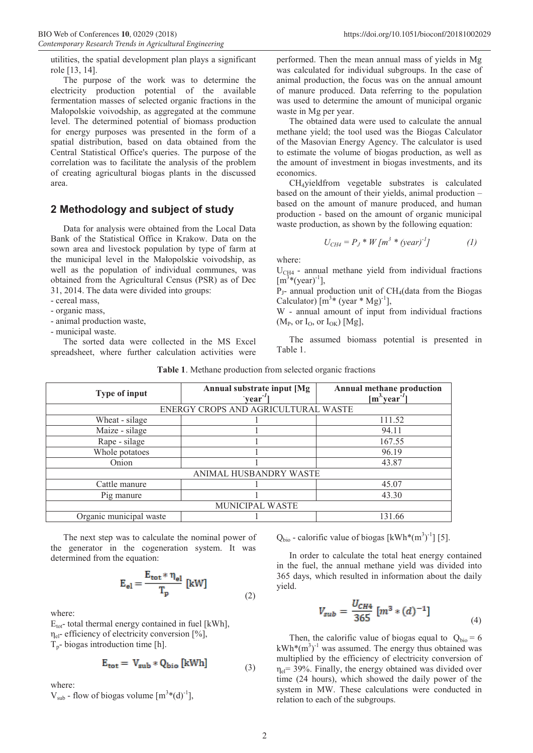utilities, the spatial development plan plays a significant role [13, 14].

The purpose of the work was to determine the electricity production potential of the available fermentation masses of selected organic fractions in the Małopolskie voivodship, as aggregated at the commune level. The determined potential of biomass production for energy purposes was presented in the form of a spatial distribution, based on data obtained from the Central Statistical Office's queries. The purpose of the correlation was to facilitate the analysis of the problem of creating agricultural biogas plants in the discussed area.

#### **2 Methodology and subject of study**

Data for analysis were obtained from the Local Data Bank of the Statistical Office in Krakow. Data on the sown area and livestock population by type of farm at the municipal level in the Małopolskie voivodship, as well as the population of individual communes, was obtained from the Agricultural Census (PSR) as of Dec 31, 2014. The data were divided into groups:

- cereal mass,

- organic mass,
- animal production waste,
- municipal waste.

The sorted data were collected in the MS Excel spreadsheet, where further calculation activities were performed. Then the mean annual mass of yields in Mg was calculated for individual subgroups. In the case of animal production, the focus was on the annual amount of manure produced. Data referring to the population was used to determine the amount of municipal organic waste in Mg per year.

The obtained data were used to calculate the annual methane yield; the tool used was the Biogas Calculator of the Masovian Energy Agency. The calculator is used to estimate the volume of biogas production, as well as the amount of investment in biogas investments, and its economics.

CH4yieldfrom vegetable substrates is calculated based on the amount of their yields, animal production – based on the amount of manure produced, and human production - based on the amount of organic municipal waste production, as shown by the following equation:

$$
U_{CH4} = P_J * W [m^3 * (year)^{-1}]
$$
 (1)

where:

 $U_{CH4}$  - annual methane yield from individual fractions  $[m^3*(year)^{-1}]$ ,

 $P_1$ - annual production unit of CH<sub>4</sub>(data from the Biogas Calculator)  $[m<sup>3</sup>*(year * Mg)<sup>-1</sup>]$ ,

W - annual amount of input from individual fractions  $(M_P, or I_O, or I_{OK})$  [Mg],

The assumed biomass potential is presented in Table 1.

| <b>Type of input</b>                | Annual substrate input [Mg | Annual methane production   |
|-------------------------------------|----------------------------|-----------------------------|
|                                     | $\text{year}^{-1}$         | $[m^3$ year <sup>-1</sup> ] |
| ENERGY CROPS AND AGRICULTURAL WASTE |                            |                             |
| Wheat - silage                      |                            | 111.52                      |
| Maize - silage                      |                            | 94.11                       |
| Rape - silage                       |                            | 167.55                      |
| Whole potatoes                      |                            | 96.19                       |
| Onion                               |                            | 43.87                       |
| ANIMAL HUSBANDRY WASTE              |                            |                             |
| Cattle manure                       |                            | 45.07                       |
| Pig manure                          |                            | 43.30                       |
| <b>MUNICIPAL WASTE</b>              |                            |                             |
| Organic municipal waste             |                            | 131.66                      |

**Table 1**. Methane production from selected organic fractions

The next step was to calculate the nominal power of the generator in the cogeneration system. It was determined from the equation:

$$
E_{el} = \frac{E_{tot} * \eta_{el}}{T_p} \text{ [kW]}
$$
 (2)

where:

 $E_{\text{tot}}$ - total thermal energy contained in fuel [kWh],  $\eta_{el}$ - efficiency of electricity conversion [%],  $T_p$ - biogas introduction time [h].

$$
E_{\text{tot}} = V_{\text{sub}} * Q_{\text{bio}} \text{[kWh]}
$$
 (3)

where:

 $V_{sub}$  - flow of biogas volume  $[m<sup>3</sup>*(d)<sup>-1</sup>]$ ,

 $Q_{bio}$  - calorific value of biogas [kWh\*(m<sup>3</sup>)<sup>-1</sup>] [5].

In order to calculate the total heat energy contained in the fuel, the annual methane yield was divided into 365 days, which resulted in information about the daily yield.

$$
V_{sub} = \frac{U_{CH4}}{365} \left[ m^3 * (d)^{-1} \right] \tag{4}
$$

Then, the calorific value of biogas equal to  $Q_{bio} = 6$  $kWh^*(m^3)^{-1}$  was assumed. The energy thus obtained was multiplied by the efficiency of electricity conversion of  $\eta_{el}$  = 39%. Finally, the energy obtained was divided over time (24 hours), which showed the daily power of the system in MW. These calculations were conducted in relation to each of the subgroups.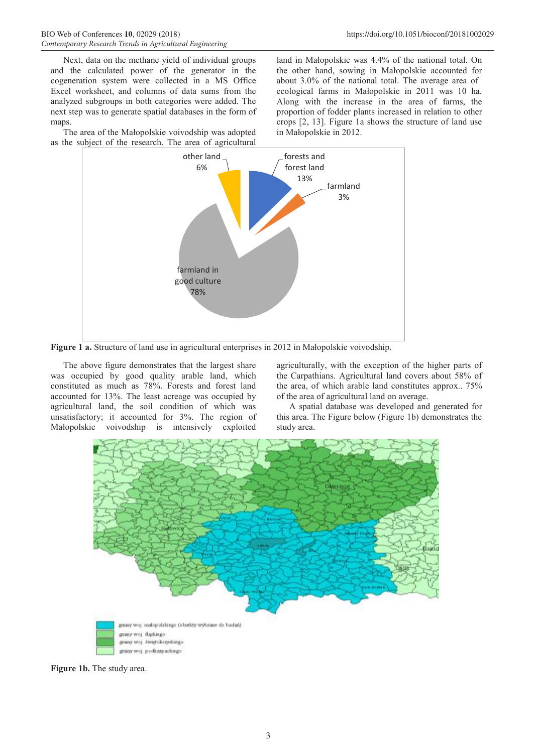Next, data on the methane yield of individual groups and the calculated power of the generator in the cogeneration system were collected in a MS Office Excel worksheet, and columns of data sums from the analyzed subgroups in both categories were added. The next step was to generate spatial databases in the form of maps.

The area of the Małopolskie voivodship was adopted as the subject of the research. The area of agricultural

land in Małopolskie was 4.4% of the national total. On the other hand, sowing in Małopolskie accounted for about 3.0% of the national total. The average area of ecological farms in Małopolskie in 2011 was 10 ha. Along with the increase in the area of farms, the proportion of fodder plants increased in relation to other crops [2, 13]. Figure 1a shows the structure of land use in Małopolskie in 2012.



**Figure 1 a.** Structure of land use in agricultural enterprises in 2012 in Małopolskie voivodship.

The above figure demonstrates that the largest share was occupied by good quality arable land, which constituted as much as 78%. Forests and forest land accounted for 13%. The least acreage was occupied by agricultural land, the soil condition of which was unsatisfactory; it accounted for 3%. The region of Małopolskie voivodship is intensively exploited

agriculturally, with the exception of the higher parts of the Carpathians. Agricultural land covers about 58% of the area, of which arable land constitutes approx.. 75% of the area of agricultural land on average.

A spatial database was developed and generated for this area. The Figure below (Figure 1b) demonstrates the study area.



**Figure 1b.** The study area.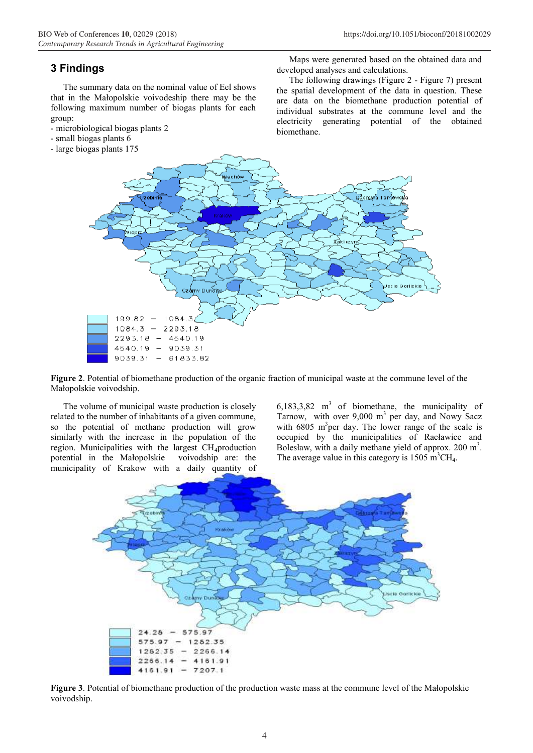#### **3 Findings**

The summary data on the nominal value of Eel shows that in the Małopolskie voivodeship there may be the following maximum number of biogas plants for each group:

- microbiological biogas plants 2
- small biogas plants 6
- large biogas plants 175

Maps were generated based on the obtained data and developed analyses and calculations.

The following drawings (Figure 2 - Figure 7) present the spatial development of the data in question. These are data on the biomethane production potential of individual substrates at the commune level and the electricity generating potential of the obtained biomethane.



**Figure 2**. Potential of biomethane production of the organic fraction of municipal waste at the commune level of the Małopolskie voivodship.

The volume of municipal waste production is closely related to the number of inhabitants of a given commune, so the potential of methane production will grow similarly with the increase in the population of the region. Municipalities with the largest CH<sub>4</sub>production<br>potential in the Małopolskie voivodship are: the potential in the Małopolskie municipality of Krakow with a daily quantity of

6,183,3,82  $m<sup>3</sup>$  of biomethane, the municipality of Tarnow, with over  $9,000$  m<sup>3</sup> per day, and Nowy Sacz with  $6805$  m<sup>3</sup>per day. The lower range of the scale is occupied by the municipalities of Racławice and Bolesław, with a daily methane yield of approx.  $200 \text{ m}^3$ . The average value in this category is  $1505 \text{ m}^3\text{CH}_4$ .



**Figure 3**. Potential of biomethane production of the production waste mass at the commune level of the Małopolskie voivodship.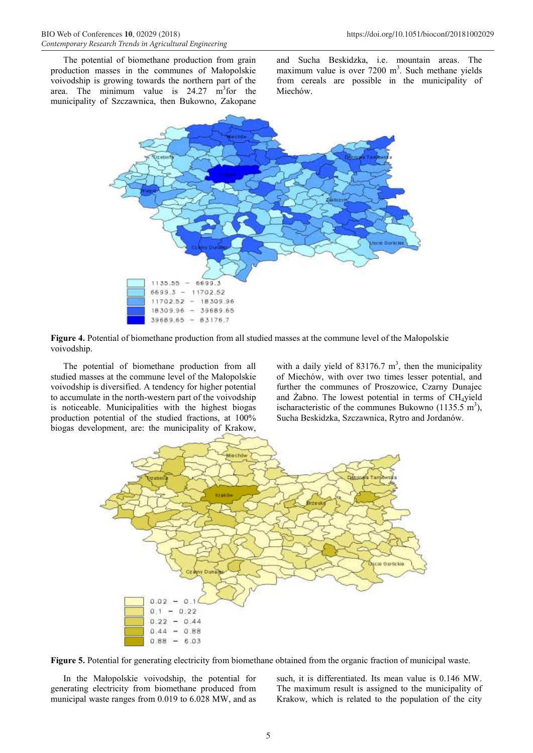The potential of biomethane production from grain production masses in the communes of Małopolskie voivodship is growing towards the northern part of the area. The minimum value is  $24.27 \text{ m}^3$  for the municipality of Szczawnica, then Bukowno, Zakopane

and Sucha Beskidzka, i.e. mountain areas. The maximum value is over  $7200 \text{ m}^3$ . Such methane yields from cereals are possible in the municipality of Miechów.



**Figure 4.** Potential of biomethane production from all studied masses at the commune level of the Małopolskie voivodship.

The potential of biomethane production from all studied masses at the commune level of the Małopolskie voivodship is diversified. A tendency for higher potential to accumulate in the north-western part of the voivodship is noticeable. Municipalities with the highest biogas production potential of the studied fractions, at 100% biogas development, are: the municipality of Krakow,

with a daily yield of  $83176.7 \text{ m}^3$ , then the municipality of Miechów, with over two times lesser potential, and further the communes of Proszowice, Czarny Dunajec and Żabno. The lowest potential in terms of CH4yield ischaracteristic of the communes Bukowno  $(1135.5 \text{ m}^3)$ , Sucha Beskidzka, Szczawnica, Rytro and Jordanów.



**Figure 5.** Potential for generating electricity from biomethane obtained from the organic fraction of municipal waste.

In the Małopolskie voivodship, the potential for generating electricity from biomethane produced from municipal waste ranges from 0.019 to 6.028 MW, and as

such, it is differentiated. Its mean value is 0.146 MW. The maximum result is assigned to the municipality of Krakow, which is related to the population of the city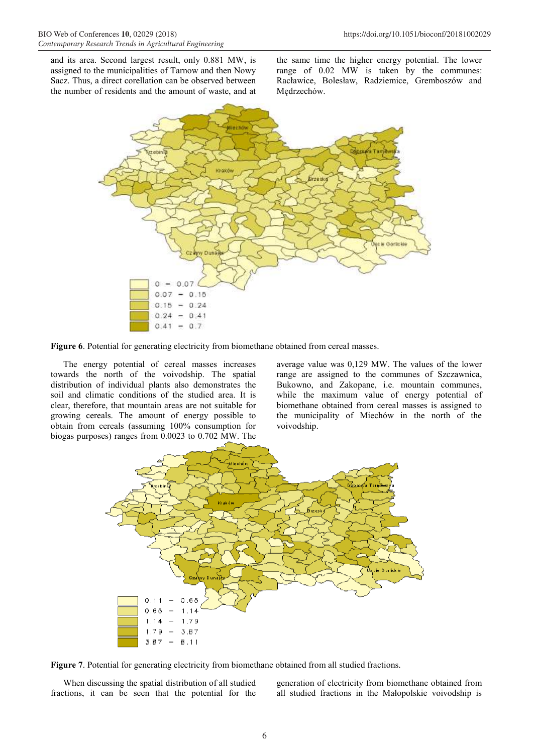and its area. Second largest result, only 0.881 MW, is assigned to the municipalities of Tarnow and then Nowy Sacz. Thus, a direct corellation can be observed between the number of residents and the amount of waste, and at

the same time the higher energy potential. The lower range of 0.02 MW is taken by the communes: Racławice, Bolesław, Radziemice, Gremboszów and Mędrzechów.



Figure 6. Potential for generating electricity from biomethane obtained from cereal masses.

The energy potential of cereal masses increases towards the north of the voivodship. The spatial distribution of individual plants also demonstrates the soil and climatic conditions of the studied area. It is clear, therefore, that mountain areas are not suitable for growing cereals. The amount of energy possible to obtain from cereals (assuming 100% consumption for biogas purposes) ranges from 0.0023 to 0.702 MW. The

average value was 0,129 MW. The values of the lower range are assigned to the communes of Szczawnica, Bukowno, and Zakopane, i.e. mountain communes, while the maximum value of energy potential of biomethane obtained from cereal masses is assigned to the municipality of Miechów in the north of the voivodship.



**Figure 7**. Potential for generating electricity from biomethane obtained from all studied fractions.

When discussing the spatial distribution of all studied fractions, it can be seen that the potential for the generation of electricity from biomethane obtained from all studied fractions in the Małopolskie voivodship is